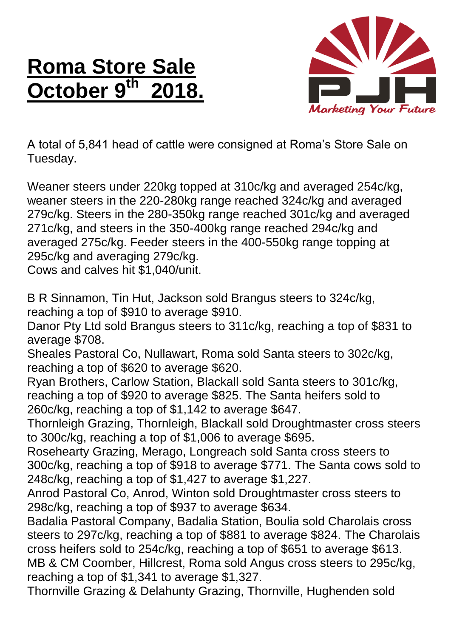## **Roma Store Sale October 9 th 2018.**



A total of 5,841 head of cattle were consigned at Roma's Store Sale on Tuesday.

Weaner steers under 220kg topped at 310c/kg and averaged 254c/kg, weaner steers in the 220-280kg range reached 324c/kg and averaged 279c/kg. Steers in the 280-350kg range reached 301c/kg and averaged 271c/kg, and steers in the 350-400kg range reached 294c/kg and averaged 275c/kg. Feeder steers in the 400-550kg range topping at 295c/kg and averaging 279c/kg.

Cows and calves hit \$1,040/unit.

B R Sinnamon, Tin Hut, Jackson sold Brangus steers to 324c/kg, reaching a top of \$910 to average \$910.

Danor Pty Ltd sold Brangus steers to 311c/kg, reaching a top of \$831 to average \$708.

Sheales Pastoral Co, Nullawart, Roma sold Santa steers to 302c/kg, reaching a top of \$620 to average \$620.

Ryan Brothers, Carlow Station, Blackall sold Santa steers to 301c/kg, reaching a top of \$920 to average \$825. The Santa heifers sold to 260c/kg, reaching a top of \$1,142 to average \$647.

Thornleigh Grazing, Thornleigh, Blackall sold Droughtmaster cross steers to 300c/kg, reaching a top of \$1,006 to average \$695.

Rosehearty Grazing, Merago, Longreach sold Santa cross steers to 300c/kg, reaching a top of \$918 to average \$771. The Santa cows sold to 248c/kg, reaching a top of \$1,427 to average \$1,227.

Anrod Pastoral Co, Anrod, Winton sold Droughtmaster cross steers to 298c/kg, reaching a top of \$937 to average \$634.

Badalia Pastoral Company, Badalia Station, Boulia sold Charolais cross steers to 297c/kg, reaching a top of \$881 to average \$824. The Charolais cross heifers sold to 254c/kg, reaching a top of \$651 to average \$613. MB & CM Coomber, Hillcrest, Roma sold Angus cross steers to 295c/kg, reaching a top of \$1,341 to average \$1,327.

Thornville Grazing & Delahunty Grazing, Thornville, Hughenden sold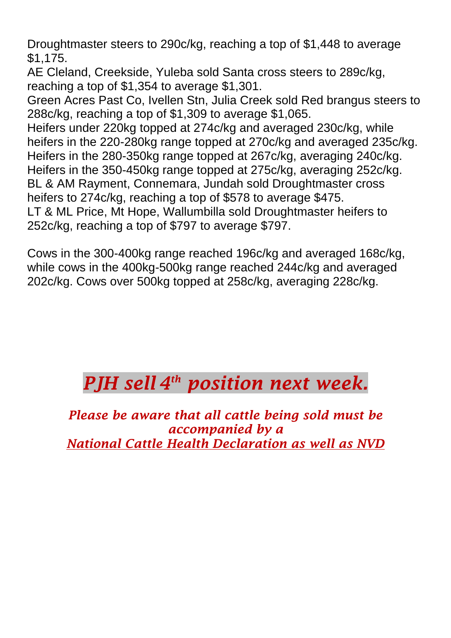Droughtmaster steers to 290c/kg, reaching a top of \$1,448 to average \$1,175.

AE Cleland, Creekside, Yuleba sold Santa cross steers to 289c/kg, reaching a top of \$1,354 to average \$1,301.

Green Acres Past Co, Ivellen Stn, Julia Creek sold Red brangus steers to 288c/kg, reaching a top of \$1,309 to average \$1,065.

Heifers under 220kg topped at 274c/kg and averaged 230c/kg, while heifers in the 220-280kg range topped at 270c/kg and averaged 235c/kg. Heifers in the 280-350kg range topped at 267c/kg, averaging 240c/kg. Heifers in the 350-450kg range topped at 275c/kg, averaging 252c/kg. BL & AM Rayment, Connemara, Jundah sold Droughtmaster cross heifers to 274c/kg, reaching a top of \$578 to average \$475. LT & ML Price, Mt Hope, Wallumbilla sold Droughtmaster heifers to

252c/kg, reaching a top of \$797 to average \$797.

Cows in the 300-400kg range reached 196c/kg and averaged 168c/kg, while cows in the 400kg-500kg range reached 244c/kg and averaged 202c/kg. Cows over 500kg topped at 258c/kg, averaging 228c/kg.

## *PJH sell 4 th position next week.*

*Please be aware that all cattle being sold must be accompanied by a National Cattle Health Declaration as well as NVD*